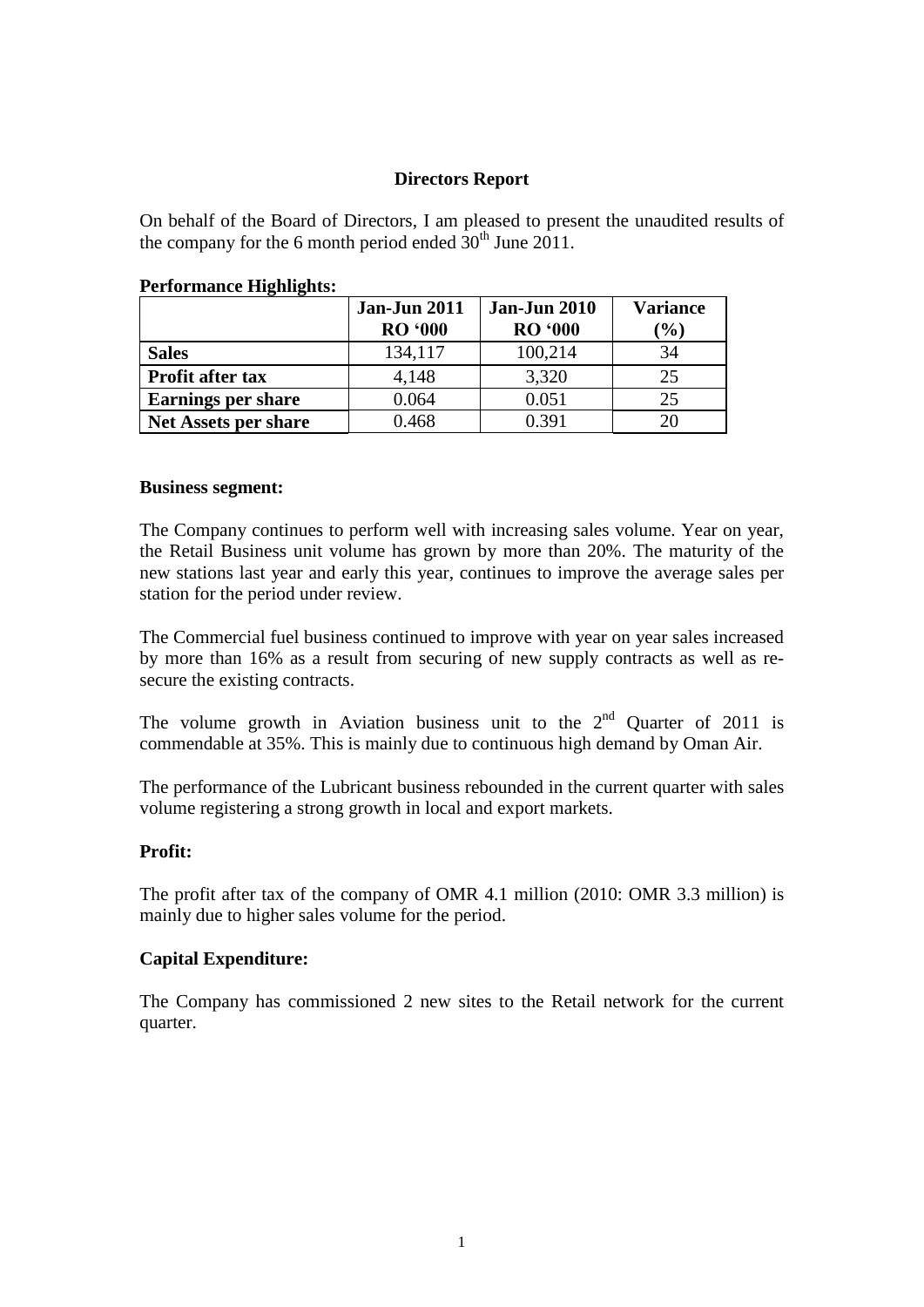# **Directors Report**

On behalf of the Board of Directors, I am pleased to present the unaudited results of the company for the 6 month period ended  $30<sup>th</sup>$  June 2011.

|                             | <b>Jan-Jun 2011</b><br><b>RO '000</b> | <b>Jan-Jun 2010</b><br><b>RO</b> '000 | <b>Variance</b><br>$\left( \frac{0}{0} \right)$ |
|-----------------------------|---------------------------------------|---------------------------------------|-------------------------------------------------|
| <b>Sales</b>                | 134,117                               | 100,214                               | 34                                              |
| <b>Profit after tax</b>     | 4,148                                 | 3,320                                 | 25                                              |
| <b>Earnings per share</b>   | 0.064                                 | 0.051                                 | 25                                              |
| <b>Net Assets per share</b> | 0.468                                 | 0.391                                 |                                                 |

### **Performance Highlights:**

#### **Business segment:**

The Company continues to perform well with increasing sales volume. Year on year, the Retail Business unit volume has grown by more than 20%. The maturity of the new stations last year and early this year, continues to improve the average sales per station for the period under review.

The Commercial fuel business continued to improve with year on year sales increased by more than 16% as a result from securing of new supply contracts as well as resecure the existing contracts.

The volume growth in Aviation business unit to the  $2<sup>nd</sup>$  Quarter of 2011 is commendable at 35%. This is mainly due to continuous high demand by Oman Air.

The performance of the Lubricant business rebounded in the current quarter with sales volume registering a strong growth in local and export markets.

## **Profit:**

The profit after tax of the company of OMR 4.1 million (2010: OMR 3.3 million) is mainly due to higher sales volume for the period.

## **Capital Expenditure:**

The Company has commissioned 2 new sites to the Retail network for the current quarter.